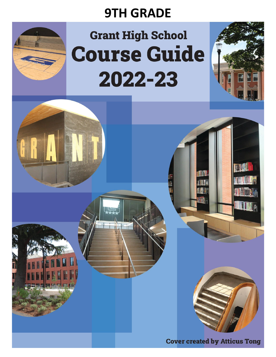# **9TH GRADE**



# **Grant High School Course Guide** 2022-23

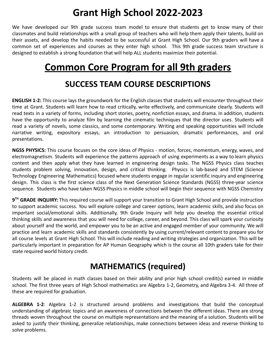# **Grant High School 2022-2023**

We have developed our 9th grade success team model to ensure that students get to know many of their classmates and build relationships with a small group of teachers who will help them apply their talents, build on their assets, and develop the habits needed to be successful at Grant High School. Our 9th graders will have a common set of experiences and courses as they enter high school. This 9th grade success team structure is designed to establish a strong foundation that will help ALL students maximize their potential.

# **Common Core Program for all 9th graders**

### **SUCCESS TEAM COURSE DESCRIPTIONS**

**ENGLISH 1-2:** This course lays the groundwork for the English classes that students will encounter throughout their time at Grant. Students will learn how to read critically, write effectively, and communicate clearly. Students will read texts in a variety of forms, including short stories, poetry, nonfiction essays, and drama. In addition, students have the opportunity to analyze film by learning the cinematic techniques that the director uses. Students will read a variety of novels, some classics, and some contemporary. Writing and speaking opportunities will include narrative writing, expository essays, an introduction to persuasion, dramatic performances, and oral presentations.

**NGSS PHYSICS:** This course focuses on the core ideas of Physics - motion, forces, momentum, energy, waves, and electromagnetism. Students will experience the patterns approach of using experiments as a way to learn physics content and then apply what they have learned in engineering design tasks. The NGSS Physics class teaches students problem solving, innovation, design, and critical thinking. Physics is lab-based and STEM (Science Technology Engineering Mathematics) focused where students engage in regular scientific inquiry and engineering design. This class is the first science class of the Next Generation Science Standards (NGSS) three-year science sequence. Students who have taken NGSS Physics in middle school will begin their sequence with NGSS Chemistry

**9 TH GRADE INQUIRY:** This required course will support your transition to Grant High School and provide instruction to support academic success. You will explore college and career options, learn academic skills, and also focus on important social/emotional skills. Additionally, 9th Grade Inquiry will help you develop the essential critical thinking skills and awareness that you will need for college, career, and beyond. This class will spark your curiosity about yourself and the world, and empower you to be an active and engaged member of your community. We will practice and learn academic skills and standards consistently by using current/relevant content to prepare you for all course levels at Grant High School. This will include reading and writing strategies and organization. This will be particularly important in preparation for AP Human Geography which is the course all 10th graders take for their state required world history credit.

# **MATHEMATICS (required)**

Students will be placed in math classes based on their ability and prior high school credit(s) earned in middle school. The first three years of High School mathematics are Algebra 1-2, Geometry, and Algebra 3-4. All three of these are required for graduation.

**ALGEBRA 1-2**: Algebra 1-2 is structured around problems and investigations that build the conceptual understanding of algebraic topics and an awareness of connections between the different ideas. There are strong threads woven throughout the course on multiple representations and the meaning of a solution. Students will be asked to justify their thinking, generalize relationships, make connections between ideas and reverse thinking to solve problems.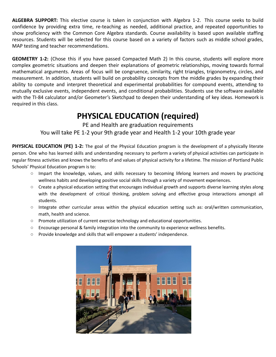**ALGEBRA SUPPORT:** This elective course is taken in conjunction with Algebra 1-2. This course seeks to build confidence by providing extra time, re-teaching as needed, additional practice, and repeated opportunities to show proficiency with the Common Core Algebra standards. Course availability is based upon available staffing resources. Students will be selected for this course based on a variety of factors such as middle school grades, MAP testing and teacher recommendations.

**GEOMETRY 1-2:** (Chose this if you have passed Compacted Math 2) In this course, students will explore more complex geometric situations and deepen their explanations of geometric relationships, moving towards formal mathematical arguments. Areas of focus will be congruence, similarity, right triangles, trigonometry, circles, and measurement. In addition, students will build on probability concepts from the middle grades by expanding their ability to compute and interpret theoretical and experimental probabilities for compound events, attending to mutually exclusive events, independent events, and conditional probabilities. Students use the software available with the TI-84 calculator and/or Geometer's Sketchpad to deepen their understanding of key ideas. Homework is required in this class.

### **PHYSICAL EDUCATION (required)**

PE and Health are graduation requirements You will take PE 1-2 your 9th grade year and Health 1-2 your 10th grade year

**PHYSICAL EDUCATION (PE) 1-2:** The goal of the Physical Education program is the development of a physically literate person. One who has learned skills and understanding necessary to perform a variety of physical activities can participate in regular fitness activities and knows the benefits of and values of physical activity for a lifetime. The mission of Portland Public Schools' Physical Education program is to:

- Impart the knowledge, values, and skills necessary to becoming lifelong learners and movers by practicing wellness habits and developing positive social skills through a variety of movement experiences.
- Create a physical education setting that encourages individual growth and supports diverse learning styles along with the development of critical thinking, problem solving and effective group interactions amongst all students.
- Integrate other curricular areas within the physical education setting such as: oral/written communication, math, health and science.
- Promote utilization of current exercise technology and educational opportunities.
- Encourage personal & family integration into the community to experience wellness benefits.
- Provide knowledge and skills that will empower a students' independence.

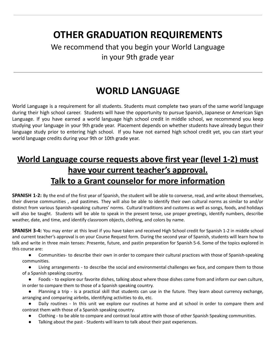# **OTHER GRADUATION REQUIREMENTS**

### We recommend that you begin your World Language in your 9th grade year

# **WORLD LANGUAGE**

World Language is a requirement for all students. Students must complete two years of the same world language during their high school career. Students will have the opportunity to pursue Spanish, Japanese or American Sign Language. If you have earned a world language high school credit in middle school, we recommend you keep studying your language in your 9th grade year. Placement depends on whether students have already begun their language study prior to entering high school. If you have not earned high school credit yet, you can start your world language credits during your 9th or 10th grade year.

# **World Language course requests above first year (level 1-2) must have your current teacher's approval. Talk to a Grant counselor for more information**

**SPANISH 1-2:** By the end of the first year of Spanish, the student will be able to converse, read, and write about themselves, their diverse communities , and pastimes. They will also be able to identify their own cultural norms as similar to and/or distinct from various Spanish-speaking cultures' norms. Cultural traditions and customs as well as songs, foods, and holidays will also be taught. Students will be able to speak in the present tense, use proper greetings, identify numbers, describe weather, date, and time, and identify classroom objects, clothing, and colors by name.

**SPANISH 3-4:** You may enter at this level if you have taken and received High School credit for Spanish 1-2 in middle school and current teacher's approval is on your Course Request form. During the second year of Spanish, students will learn how to talk and write in three main tenses: Presente, future, and pastin preparation for Spanish 5-6. Some of the topics explored in this course are:

● Communities- to describe their own in order to compare their cultural practices with those of Spanish-speaking communities.

● Living arrangements - to describe the social and environmental challenges we face, and compare them to those of a Spanish speaking country.

● Foods - to explore our favorite dishes, talking about where those dishes come from and inform our own culture, in order to compare them to those of a Spanish speaking country.

Planning a trip - is a practical skill that students can use in the future. They learn about currency exchange, arranging and comparing airbnbs, identifying activities to do, etc.

Daily routines - In this unit we explore our routines at home and at school in order to compare them and contrast them with those of a Spanish speaking country.

Clothing - to be able to compare and contrast local attire with those of other Spanish Speaking communities.

● Talking about the past - Students will learn to talk about their past experiences.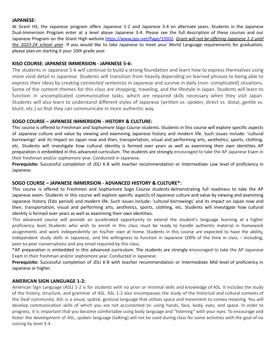#### **JAPANESE:**

At Grant HS, the Japanese program offers Japanese 1-2 and Japanese 3-4 on alternate years. Students in the Japanese Dual-Immersion Program enter at a level above Japanese 3-4. Please see the full description of these courses and our Japanese Program on the Grant High website [https://www.pps.net/Page/13502.](https://www.pps.net/Page/13502) *Grant will not be offering Japanese 1-2 until the 2023-24 school year*. If you would like to take Japanese to meet your World Language requirements for graduation, please plan on starting it your 10th grade year.

#### **KISO COURSE: JAPANESE IMMERSION - JAPANESE 5-6:**

The students in Japanese 5-6 will continue to build a strong foundation and learn how to express themselves using more vivid detail in Japanese. Students will transition from heavily depending on learned phrases to being able to express their ideas by creating connected sentences in Japanese and survive in daily (non-complicated) situations. Some of the content themes for this class are shopping, traveling, and the lifestyle in Japan. Students will learn to function in uncomplicated communicative tasks, which are required skills necessary when they visit Japan. Students will also learn to understand different styles of Japanese (written vs. spoken, direct vs. distal, gentle vs. blunt, etc.) so that they can communicate in more authentic way.

#### **SOGO COURSE – JAPANESE IMMERSION - HISTORY & CULTURE:**

This course is offered to Freshman and Sophomore Sogo Course students. Students in this course will explore specific aspects of Japanese culture and value by viewing and examining Japanese history and modern life. Such issues include: 'cultural borrowings' and its impact on Japan now and then, transportation, visual and performing arts, aesthetics, sports, clothing, etc. Students will investigate how cultural identity is formed over years as well as examining their own identities. AP preparation is embedded in this advanced curriculum. The students are strongly encouraged to take the AP Japanese Exam in their freshman and/or sophomore year. Conducted in Japanese.

**Prerequisite:** Successful completion of JDLI K-8 with teacher recommendation or Intermediate Low level of proficiency in Japanese.

#### **SOGO COURSE – JAPANESE IMMERSION - ADVANCED HISTORY & CULTURE\*:**

This course is offered to Freshmen and Sophomore Sogo Course students demonstrating full readiness to take the AP Japanese exam. Students in this course will explore specific aspects of Japanese culture and value by viewing and examining Japanese history (Edo period) and modern life. Such issues include: 'cultural borrowings' and its impact on Japan now and then, transportation, visual and performing arts, aesthetics, sports, clothing, etc. Students will investigate how cultural identity is formed over years as well as examining their own identities.

This advanced course will provide an accelerated opportunity to extend the student's language learning at a higher proficiency level. Students who wish to enroll in this class must be ready to handle authentic material in homework assignments and work independently on his/her own at home. Students in this course are expected to have the ability, independent study skills in Japanese, and the willingness to function in Japanese 100% of the time in class – including, peer-to-peer conversations and any email required by this class.

\*AP preparation is embedded in this advanced curriculum. The students are strongly encouraged to take the AP Japanese Exam in their freshman and/or sophomore year. Conducted in Japanese.

**Prerequisite:** Successful completion of JDLI K-8 with teacher recommendation or Intermediate Mid level of proficiency in Japanese or higher.

#### **AMERICAN SIGN LANGUAGE 1-2:**

American Sign Language (ASL) 1-2 is for students with no prior or minimal skills and knowledge of ASL. It includes the study of the history, structure, and grammar of ASL. ASL 1-2 also encompasses the study of the historical and cultural contexts of the Deaf community. ASL is a visual, spatial, gestural language that utilizes space and movement to convey meaning. You will develop communication skills of which you are not accustomed to: using hands, face, body, eyes, and space. In order to progress, it is important that you become comfortable using body language and "listening" with your eyes. To encourage and foster the development of ASL, spoken language (talking) will not be used during class for some activities with the goal of no voicing by level 3-4.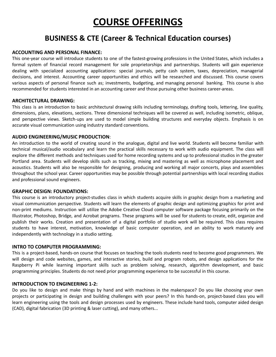# **COURSE OFFERINGS**

### **BUSINESS & CTE (Career & Technical Education courses)**

#### **ACCOUNTING AND PERSONAL FINANCE:**

This one-year course will introduce students to one of the fastest-growing professions in the United States, which includes a formal system of financial record management for sole proprietorships and partnerships. Students will gain experience dealing with specialized accounting applications: special journals, petty cash system, taxes, depreciation, managerial decisions, and interest. Accounting career opportunities and ethics will be researched and discussed. This course covers various aspects of personal finance such as; investments, budgeting, and managing personal banking. This course is also recommended for students interested in an accounting career and those pursuing other business career‐areas.

#### **ARCHITECTURAL DRAWING:**

This class is an introduction to basic architectural drawing skills including terminology, drafting tools, lettering, line quality, dimensions, plans, elevations, sections. Three dimensional techniques will be covered as well, including isometric, oblique, and perspective views. Sketch-ups are used to model simple building structures and everyday objects. Emphasis is on accurate visual communication using industry standard conventions.

#### **AUDIO ENGINEERING/MUSIC PRODUCTION**:

An introduction to the world of creating sound in the analogue, digital and live world. Students will become familiar with technical musical/audio vocabulary and learn the practical skills necessary to work with audio equipment. The class will explore the different methods and techniques used for home recording systems and up to professional studios in the greater Portland area. Students will develop skills such as tracking, mixing and mastering as well as microphone placement and acoustics. Students will also be responsible for designing, producing and working all major concerts, plays and assemblies throughout the school year. Career opportunities may be possible through potential partnerships with local recording studios and professional sound engineers.

#### **GRAPHIC DESIGN: FOUNDATIONS:**

This course is an introductory project‐studies class in which students acquire skills in graphic design from a marketing and visual communication perspective. Students will learn the elements of graphic design and optimizing graphics for print and non‐print mediums. Instruction will utilize the Adobe Creative Cloud computer software package focusing primarily on the Illustrator, Photoshop, Bridge, and Acrobat programs. These programs will be used for students to create, edit, organize and publish their works. Creation and presentation of a digital portfolio of studio work will be required. This class requires students to have interest, motivation, knowledge of basic computer operation, and an ability to work maturely and independently with technology in a studio setting.

#### **INTRO TO COMPUTER PROGRAMMING:**

This is a project-based, hands-on course that focuses on teaching the tools students need to become good programmers. We will design and code websites, games, and interactive stories, build and program robots, and design applications for the Raspberry Pi while learning important skills such as problem solving, research, algorithm development, and basic programming principles. Students do not need prior programming experience to be successful in this course.

#### **INTRODUCTION TO ENGINEERING 1-2:**

Do you like to design and make things by hand and with machines in the makerspace? Do you like choosing your own projects or participating in design and building challenges with your peers? In this hands-on, project-based class you will learn engineering using the tools and design processes used by engineers. These include hand tools, computer aided design (CAD), digital fabrication (3D printing & laser cutting), and many others...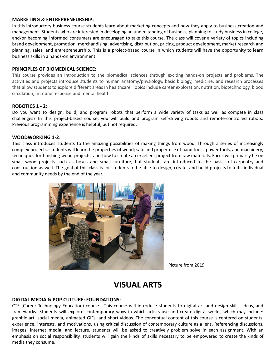#### **MARKETING & ENTREPRENEURSHIP:**

In this introductory business course students learn about marketing concepts and how they apply to business creation and management. Students who are interested in developing an understanding of business, planning to study business in college, and/or becoming informed consumers are encouraged to take this course. The class will cover a variety of topics including brand development, promotion, merchandising, advertising, distribution, pricing, product development, market research and planning, sales, and entrepreneurship. This is a project‐based course in which students will have the opportunity to learn business skills in a hands-on environment.

#### **PRINCIPLES OF BIOMEDICAL SCIENCE**:

This course provides an introduction to the biomedical sciences through exciting hands-on projects and problems. The activities and projects introduce students to human anatomy/physiology, basic biology, medicine, and research processes that allow students to explore different areas in healthcare. Topics include career exploration, nutrition, biotechnology, blood circulation, immune response and mental health.

#### **ROBOTICS 1 - 2**:

Do you want to design, build, and program robots that perform a wide variety of tasks as well as compete in class challenges? In this project-based course, you will build and program self-driving robots and remote-controlled robots. Previous programming experience is helpful, but not required.

#### **WOODWORKING 1-2**:

This class introduces students to the amazing possibilities of making things from wood. Through a series of increasingly complex projects, students will learn the properties of wood; safe and proper use of hand tools, power tools, and machinery; techniques for finishing wood projects; and how to create an excellent project from raw materials. Focus will primarily be on small wood projects such as boxes and small furniture, but students are introduced to the basics of carpentry and construction as well. The goal of this class is for students to be able to design, create, and build projects to fulfill individual and community needs by the end of the year.



Picture from 2019

### **VISUAL ARTS**

#### **DIGITAL MEDIA & POP CULTURE: FOUNDATIONS:**

CTE (Career Technology Education) course. This course will introduce students to digital art and design skills, ideas, and frameworks. Students will explore contemporary ways in which artists use and create digital works, which may include: graphic art, social media, animated GIFs, and short videos. The conceptual content of this course is centered on students' experience, interests, and motivations, using critical discussion of contemporary culture as a lens. Referencing discussions, images, internet media, and lecture, students will be asked to creatively problem solve in each assignment. With an emphasis on social responsibility, students will gain the kinds of skills necessary to be empowered to create the kinds of media they consume.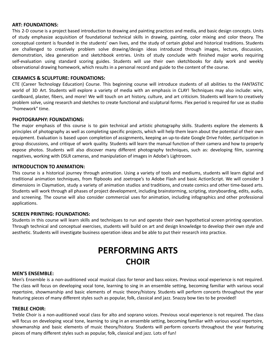#### **ART: FOUNDATIONS:**

This 2-D course is a project based introduction to drawing and painting practices and media, and basic design concepts. Units of study emphasize acquisition of foundational technical skills in drawing, painting, color mixing and color theory. The conceptual content is founded in the students' own lives, and the study of certain global and historical traditions. Students are challenged to creatively problem solve drawing/design ideas introduced through images, lecture, discussion, demonstration, idea generation and sketchbook entries. Units of study conclude with finished major works requiring self-evaluation using standard scoring guides. Students will use their own sketchbooks for daily work and weekly observational drawing homework, which results in a personal record and guide to the content of the course.

#### **CERAMICS & SCULPTURE: FOUNDATIONS:**

CTE (Career Technology Education) Course. This beginning course will introduce students of all abilities to the FANTASTIC world of 3D Art. Students will explore a variety of media with an emphasis in CLAY! Techniques may also include: wire, cardboard, plaster, fibers, and more! We will touch on art history, culture, and art criticism. Students will learn to creatively problem solve, using research and sketches to create functional and sculptural forms. Flex period is required for use as studio "homework" time.

#### **PHOTOGRAPHY: FOUNDATIONS:**

The major emphasis of this course is to gain technical and artistic photography skills. Students explore the elements & principles of photography as well as completing specific projects, which will help them learn about the potential of their own equipment. Evaluation is based upon completion of assignments, keeping an up-to-date Google Drive Folder, participation in group discussions, and critique of work quality. Students will learn the manual function of their camera and how to properly expose photos. Students will also discover many different photography techniques, such as: developing film, scanning negatives, working with DSLR cameras, and manipulation of images in Adobe's Lightroom.

#### **INTRODUCTION TO ANIMATION:**

This course is a historical journey through animation. Using a variety of tools and mediums, students will learn digital and traditional animation techniques, from flipbooks and zoetrope's to Adobe Flash and basic ActionScript. We will consider 3 dimensions in Claymation, study a variety of animation studios and traditions, and create comics and other time-based arts. Students will work through all phases of project development, including brainstorming, scripting, storyboarding, edits, audio, and screening. The course will also consider commercial uses for animation, including infographics and other professional applications.

#### **SCREEN PRINTING: FOUNDATIONS:**

Students in this course will learn skills and techniques to run and operate their own hypothetical screen printing operation. Through technical and conceptual exercises, students will build on art and design knowledge to develop their own style and aesthetic. Students will investigate business operation ideas and be able to put their research into practice.

# **PERFORMING ARTS CHOIR**

#### **MEN'S ENSEMBLE:**

Men's Ensemble is a non‐auditioned vocal musical class for tenor and bass voices. Previous vocal experience is not required. The class will focus on developing vocal tone, learning to sing in an ensemble setting, becoming familiar with various vocal repertoire, showmanship and basic elements of music theory/history. Students will perform concerts throughout the year featuring pieces of many different styles such as popular, folk, classical and jazz. Snazzy bow ties to be provided!

#### **TREBLE CHOIR:**

Treble Choir is a non-auditioned vocal class for alto and soprano voices. Previous vocal experience is not required. The class will focus on developing vocal tone, learning to sing in an ensemble setting, becoming familiar with various vocal repertoire, showmanship and basic elements of music theory/history. Students will perform concerts throughout the year featuring pieces of many different styles such as popular, folk, classical and jazz. Lots of fun!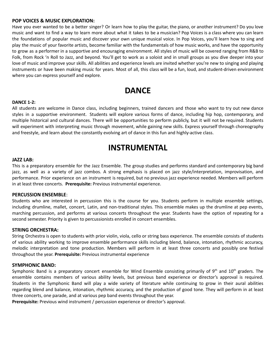#### **POP VOICES & MUSIC EXPLORATION:**

Have you ever wanted to be a better singer? Or learn how to play the guitar, the piano, or another instrument? Do you love music and want to find a way to learn more about what it takes to be a musician? Pop Voices is a class where you can learn the foundations of popular music and discover your own unique musical voice. In Pop Voices, you'll learn how to sing and play the music of your favorite artists, become familiar with the fundamentals of how music works, and have the opportunity to grow as a performer in a supportive and encouraging environment. All styles of music will be covered ranging from R&B to Folk, from Rock 'n Roll to Jazz, and beyond. You'll get to work as a soloist and in small groups as you dive deeper into your love of music and improve your skills. All abilities and experience levels are invited whether you're new to singing and playing instruments or have been making music for years. Most of all, this class will be a fun, loud, and student-driven environment where you can express yourself and explore.

### **DANCE**

#### **DANCE 1-2:**

All students are welcome in Dance class, including beginners, trained dancers and those who want to try out new dance styles in a supportive environment. Students will explore various forms of dance, including hip hop, contemporary, and multiple historical and cultural dances. There will be opportunities to perform publicly, but it will not be required. Students will experiment with interpreting music through movement, while gaining new skills. Express yourself through choreography and freestyle, and learn about the constantly evolving art of dance in this fun and highly-active class.

### **INSTRUMENTAL**

#### **JAZZ LAB:**

This is a preparatory ensemble for the Jazz Ensemble. The group studies and performs standard and contemporary big band jazz, as well as a variety of jazz combos. A strong emphasis is placed on jazz style/interpretation, improvisation, and performance. Prior experience on an instrument is required, but no previous jazz experience needed. Members will perform in at least three concerts. **Prerequisite:** Previous instrumental experience.

#### **PERCUSSION ENSEMBLE**:

Students who are interested in percussion this is the course for you. Students perform in multiple ensemble settings, including drumline, mallet, concert, Latin, and non-traditional styles. This ensemble makes up the drumline at pep events, marching percussion, and performs at various concerts throughout the year. Students have the option of repeating for a second semester. Priority is given to percussionists enrolled in concert ensembles.

#### **STRING ORCHESTRA:**

String Orchestra is open to students with prior violin, viola, cello or string bass experience. The ensemble consists of students of various ability working to improve ensemble performance skills including blend, balance, intonation, rhythmic accuracy, melodic interpretation and tone production. Members will perform in at least three concerts and possibly one festival throughout the year. **Prerequisite:** Previous instrumental experience

#### **SYMPHONIC BAND:**

Symphonic Band is a preparatory concert ensemble for Wind Ensemble consisting primarily of 9<sup>th</sup> and 10<sup>th</sup> graders. The ensemble contains members of various ability levels, but previous band experience or director's approval is required. Students in the Symphonic Band will play a wide variety of literature while continuing to grow in their aural abilities regarding blend and balance, intonation, rhythmic accuracy, and the production of good tone. They will perform in at least three concerts, one parade, and at various pep band events throughout the year.

**Prerequisite:** Previous wind instrument / percussion experience or director's approval.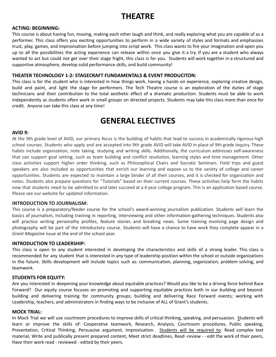# **THEATRE**

#### **ACTING: BEGINNING:**

This course is about having fun, moving, making each other laugh and think, and really exploring what you are capable of as a performer. This class offers you exciting opportunities to perform in a wide variety of styles and formats and emphasizes trust, play, games, and improvisation before jumping into script work. This class wants to fire your imagination and open you up to all the possibilities the acting experience can release within once you give it a try. If you are a student who always wanted to act but could not get over their stage fright, this class is for you. Students will work together in a structured and supportive atmosphere, develop solid performance skills, and build community!

#### **THEATER TECHNOLOGY 1-2: STAGECRAFT FUNDAMENTALS & EVENT PRODUCITON:**

This class is for the student who is interested in how things work, having a hands on experience, exploring creative design, build and paint, and light the stage for performers. The Tech Theatre course is an exploration of the duties of stage technicians and their contribution to the total aesthetic effect of a dramatic production. Students must be able to work independently as students often work in small groups on directed projects. Students may take this class more than once for credit. Anyone can take this class at any time!

### **GENERAL ELECTIVES**

#### **AVID 9:**

At the 9th grade level of AVID, our primary focus is the building of habits that lead to success in academically rigorous high school courses. Students who apply and are accepted into 9th grade AVID will take AVID in place of 9th grade Inquiry. These habits include organization, note taking, studying and writing skills. Additionally, the curriculum addresses self-awareness that can support goal setting, such as team building and conflict resolution, learning styles and time management. Other class activities support higher order thinking, such as Philosophical Chairs and Socratic Seminars. Field trips and guest speakers are also included as opportunities that enrich our learning and expose us to the variety of college and career opportunities. Students are expected to maintain a large binder of all their courses, and it is checked for organization and notes. Students also prepare questions for "Tutorials" based on their current courses. These activities help form the habits now that students need to be admitted to and later succeed at a 4 year college program. This is an application based course. Please see our website for updated information.

#### **INTRODUCTION TO JOURNALISM:**

This course is a preparatory/feeder course for the school's award-winning journalism publication. Students will learn the basics of journalism, including training in reporting, interviewing and other information-gathering techniques. Students also will practice writing personality profiles, feature stories and breaking news. Some training involving page design and photography will be part of the introductory course. Students will have a chance to have work they complete appear in a *Grant Magazine* issue at the end of the school year.

#### **INTRODUCTION TO LEADERSHIP:**

This class is open to any student interested in developing the characteristics and skills of a strong leader. This class is recommended for any student that is interested in any type of leadership position within the school or outside organizations in the future. Skills development will include topics such as: communication, planning, organization, problem solving, and teamwork.

#### **STUDENTS FOR EQUITY:**

Are you interested in deepening your knowledge about equitable practices? Would you like to be a driving force behind Race Forward? Our equity course focuses on promoting and supporting equitable practices both in our building and beyond: building and delivering training for community groups; building and delivering Race Forward events; working with Leadership, teachers, and administrators in finding ways to be inclusive of ALL of Grant's students.

#### **MOCK TRIAL:**

In Mock Trial we will use courtroom procedures to improve skills of critical thinking, speaking, and persuasion. Students will learn or improve the skills of: Cooperative teamwork, Research, Analysis, Courtroom procedures, Public speaking, Presentation, Critical Thinking, Persuasive argument, Improvisation. Students will be required to: Read complex text material, Write and publically present prepared content, Meet strict deadlines, Read -review - - edit the work of their peers, Have their work read - reviewed - edited by their peers.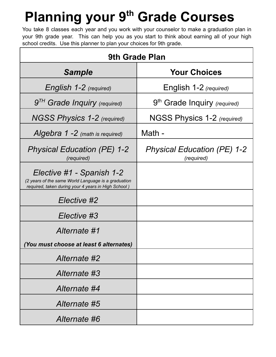# **Planning your 9th Grade Courses**

You take 8 classes each year and you work with your counselor to make a graduation plan in your 9th grade year. This can help you as you start to think about earning all of your high school credits. Use this planner to plan your choices for 9th grade.

| 9th Grade Plan                                                                                                                          |                                                  |
|-----------------------------------------------------------------------------------------------------------------------------------------|--------------------------------------------------|
| <b>Sample</b>                                                                                                                           | <b>Your Choices</b>                              |
| English 1-2 (required)                                                                                                                  | English 1-2 (required)                           |
| 9 <sup>TH</sup> Grade Inquiry (required)                                                                                                | 9 <sup>th</sup> Grade Inquiry (required)         |
| NGSS Physics 1-2 (required)                                                                                                             | NGSS Physics 1-2 (required)                      |
| Algebra $1 - 2$ (math is required)                                                                                                      | Math -                                           |
| <b>Physical Education (PE) 1-2</b><br>(required)                                                                                        | <b>Physical Education (PE) 1-2</b><br>(required) |
| Elective #1 - Spanish 1-2<br>(2 years of the same World Language is a graduation<br>required, taken during your 4 years in High School) |                                                  |
| Elective #2                                                                                                                             |                                                  |
| Elective #3                                                                                                                             |                                                  |
| Alternate #1                                                                                                                            |                                                  |
| (You must choose at least 6 alternates)                                                                                                 |                                                  |
| Alternate #2                                                                                                                            |                                                  |
| Alternate #3                                                                                                                            |                                                  |
| Alternate #4                                                                                                                            |                                                  |
| Alternate #5                                                                                                                            |                                                  |
| Alternate #6                                                                                                                            |                                                  |